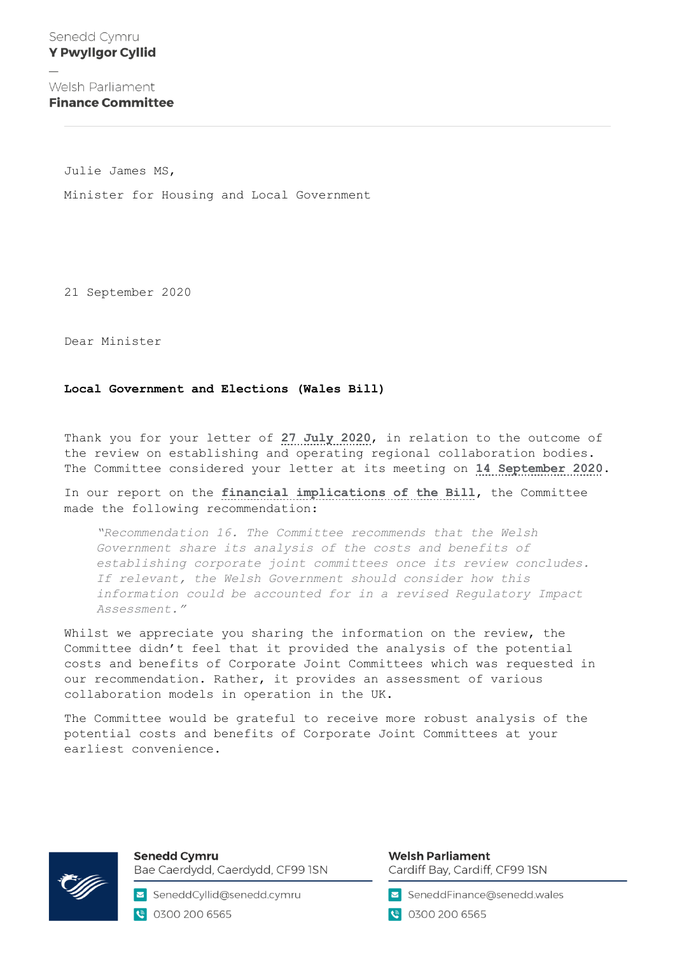Welsh Parliament **Finance Committee** 

Julie James MS,

Minister for Housing and Local Government

21 September 2020

Dear Minister

## **Local Government and Elections (Wales Bill)**

Thank you for your letter of **[27 July 2020](https://business.senedd.wales/documents/s103854/Correspondence%20from%20the%20Minister%20for%20Housing%20and%20Local%20Government%20to%20the%20Finance%20Committee%20Include.pdf)**, in relation to the outcome of the review on establishing and operating regional collaboration bodies. The Committee considered your letter at its meeting on **[14 September 2020](https://business.senedd.wales/ieListDocuments.aspx?CId=440&MId=6428&Ver=4)**.

In our report on the **[financial implications of the Bill](https://www.assembly.wales/laid%20documents/cr-ld13088/cr-ld13088%20-e.pdf)**, the Committee made the following recommendation:

*"Recommendation 16. The Committee recommends that the Welsh Government share its analysis of the costs and benefits of establishing corporate joint committees once its review concludes. If relevant, the Welsh Government should consider how this information could be accounted for in a revised Regulatory Impact Assessment."*

Whilst we appreciate you sharing the information on the review, the Committee didn't feel that it provided the analysis of the potential costs and benefits of Corporate Joint Committees which was requested in our recommendation. Rather, it provides an assessment of various collaboration models in operation in the UK.

The Committee would be grateful to receive more robust analysis of the potential costs and benefits of Corporate Joint Committees at your earliest convenience.



**Senedd Cymru** Bae Caerdydd, Caerdydd, CF99 ISN

SeneddCyllid@senedd.cymru ● 0300 200 6565

## **Welsh Parliament** Cardiff Bay, Cardiff, CF99 ISN

SeneddFinance@senedd.wales

● 0300 200 6565